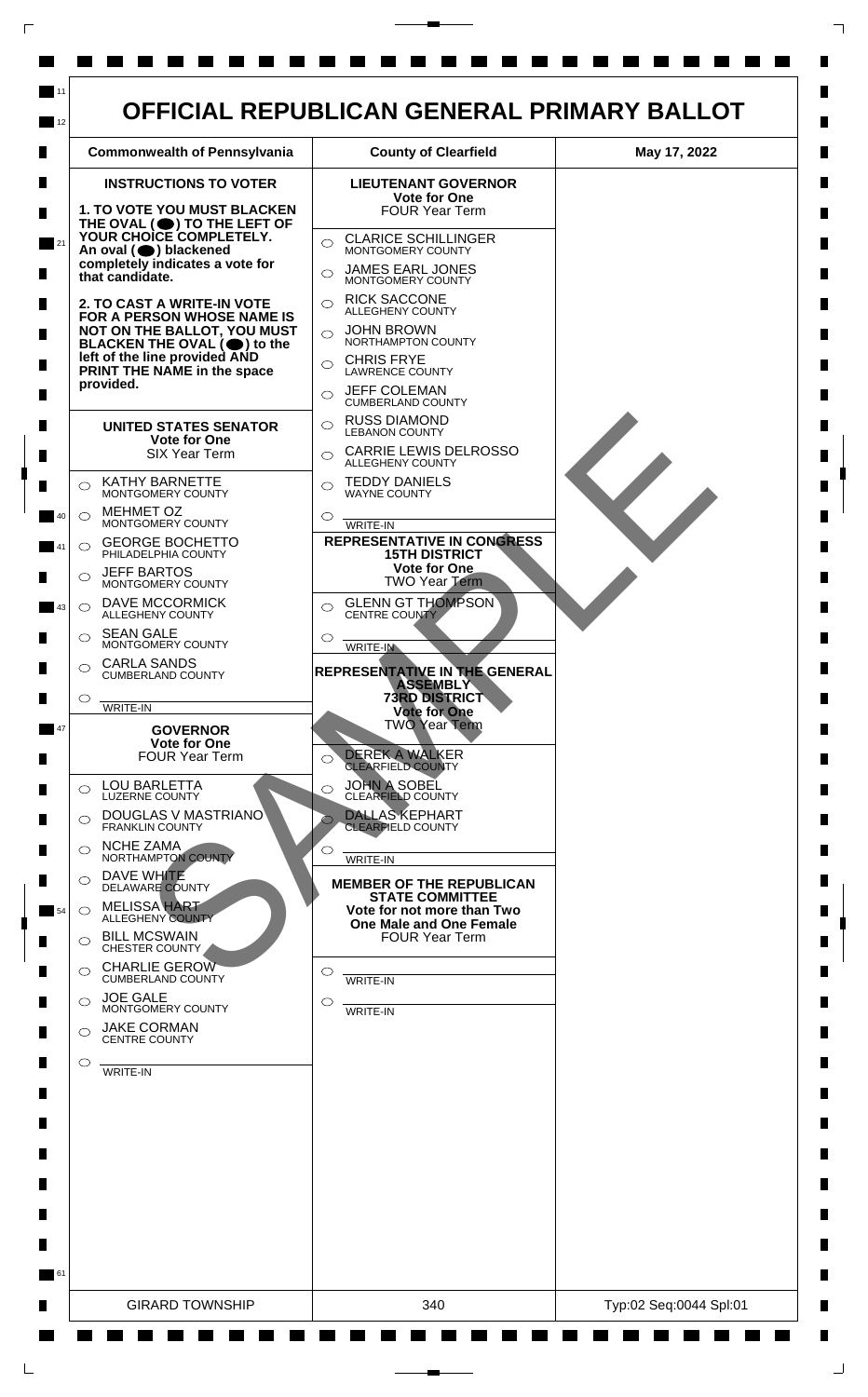

 $\mathsf{L}$ 

 $\Box$